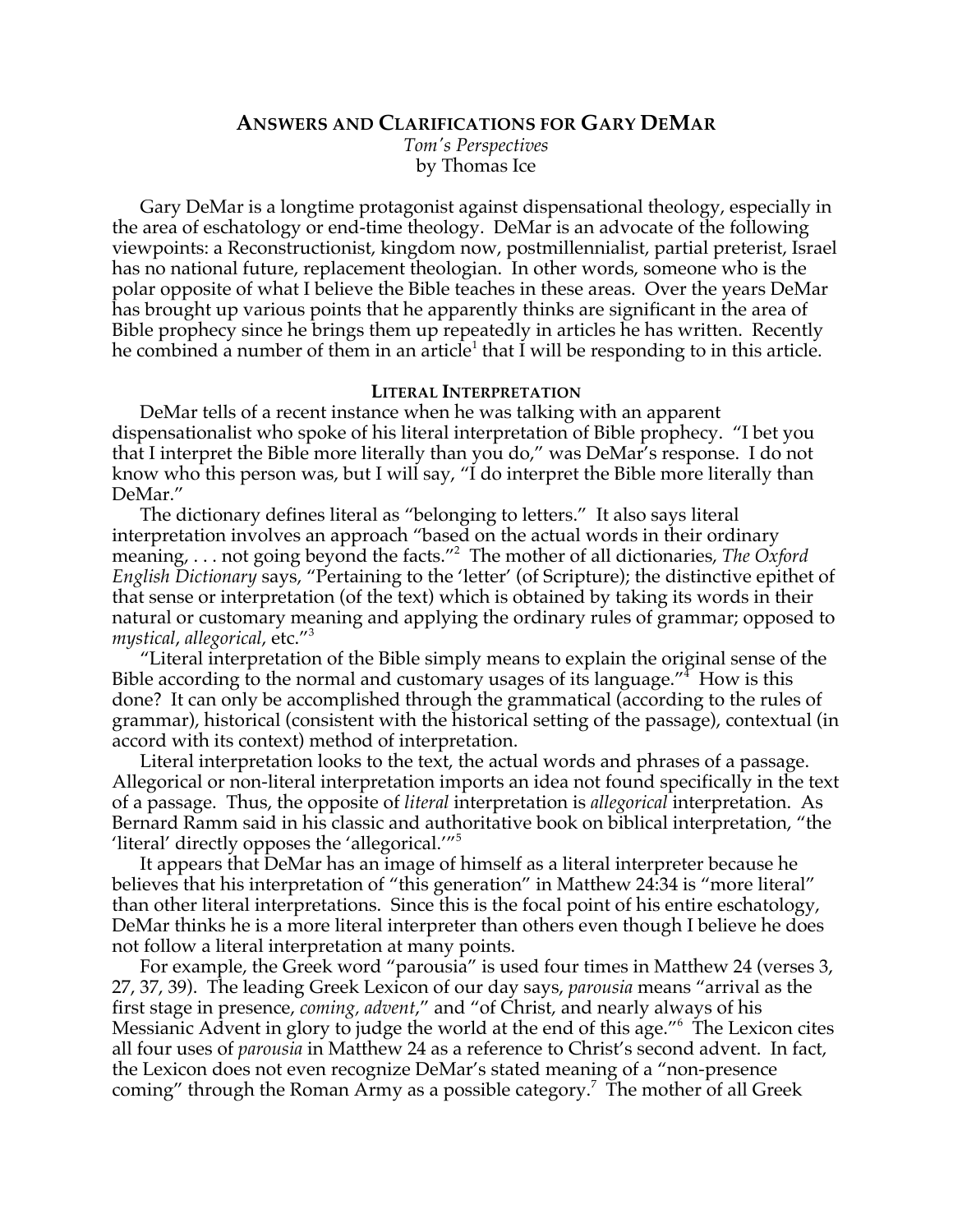# **ANSWERS AND CLARIFICATIONS FOR GARY DEMAR**

*Tom's Perspectives* by Thomas Ice

Gary DeMar is a longtime protagonist against dispensational theology, especially in the area of eschatology or end-time theology. DeMar is an advocate of the following viewpoints: a Reconstructionist, kingdom now, postmillennialist, partial preterist, Israel has no national future, replacement theologian. In other words, someone who is the polar opposite of what I believe the Bible teaches in these areas. Over the years DeMar has brought up various points that he apparently thinks are significant in the area of Bible prophecy since he brings them up repeatedly in articles he has written. Recently he combined a number of them in an article<sup>1</sup> that I will be responding to in this article.

## **LITERAL INTERPRETATION**

DeMar tells of a recent instance when he was talking with an apparent dispensationalist who spoke of his literal interpretation of Bible prophecy. "I bet you that I interpret the Bible more literally than you do," was DeMar's response. I do not know who this person was, but I will say, "I do interpret the Bible more literally than DeMar."

The dictionary defines literal as "belonging to letters." It also says literal interpretation involves an approach "based on the actual words in their ordinary meaning, . . . not going beyond the facts."<sup>2</sup> The mother of all dictionaries, The Oxford *English Dictionary* says, "Pertaining to the 'letter' (of Scripture); the distinctive epithet of that sense or interpretation (of the text) which is obtained by taking its words in their natural or customary meaning and applying the ordinary rules of grammar; opposed to *mystical*, *allegorical*, etc."<sup>3</sup>

"Literal interpretation of the Bible simply means to explain the original sense of the Bible according to the normal and customary usages of its language." $4$  How is this done? It can only be accomplished through the grammatical (according to the rules of grammar), historical (consistent with the historical setting of the passage), contextual (in accord with its context) method of interpretation.

Literal interpretation looks to the text, the actual words and phrases of a passage. Allegorical or non-literal interpretation imports an idea not found specifically in the text of a passage. Thus, the opposite of *literal* interpretation is *allegorical* interpretation. As Bernard Ramm said in his classic and authoritative book on biblical interpretation, "the 'literal' directly opposes the 'allegorical.'"<sup>5</sup>

It appears that DeMar has an image of himself as a literal interpreter because he believes that his interpretation of "this generation" in Matthew 24:34 is "more literal" than other literal interpretations. Since this is the focal point of his entire eschatology, DeMar thinks he is a more literal interpreter than others even though I believe he does not follow a literal interpretation at many points.

For example, the Greek word "parousia" is used four times in Matthew 24 (verses 3, 27, 37, 39). The leading Greek Lexicon of our day says, *parousia* means "arrival as the first stage in presence, *coming, advent*," and "of Christ, and nearly always of his Messianic Advent in glory to judge the world at the end of this age."<sup>6</sup> The Lexicon cites all four uses of *parousia* in Matthew 24 as a reference to Christ's second advent. In fact, the Lexicon does not even recognize DeMar's stated meaning of a "non-presence coming" through the Roman Army as a possible category.<sup>7</sup> The mother of all Greek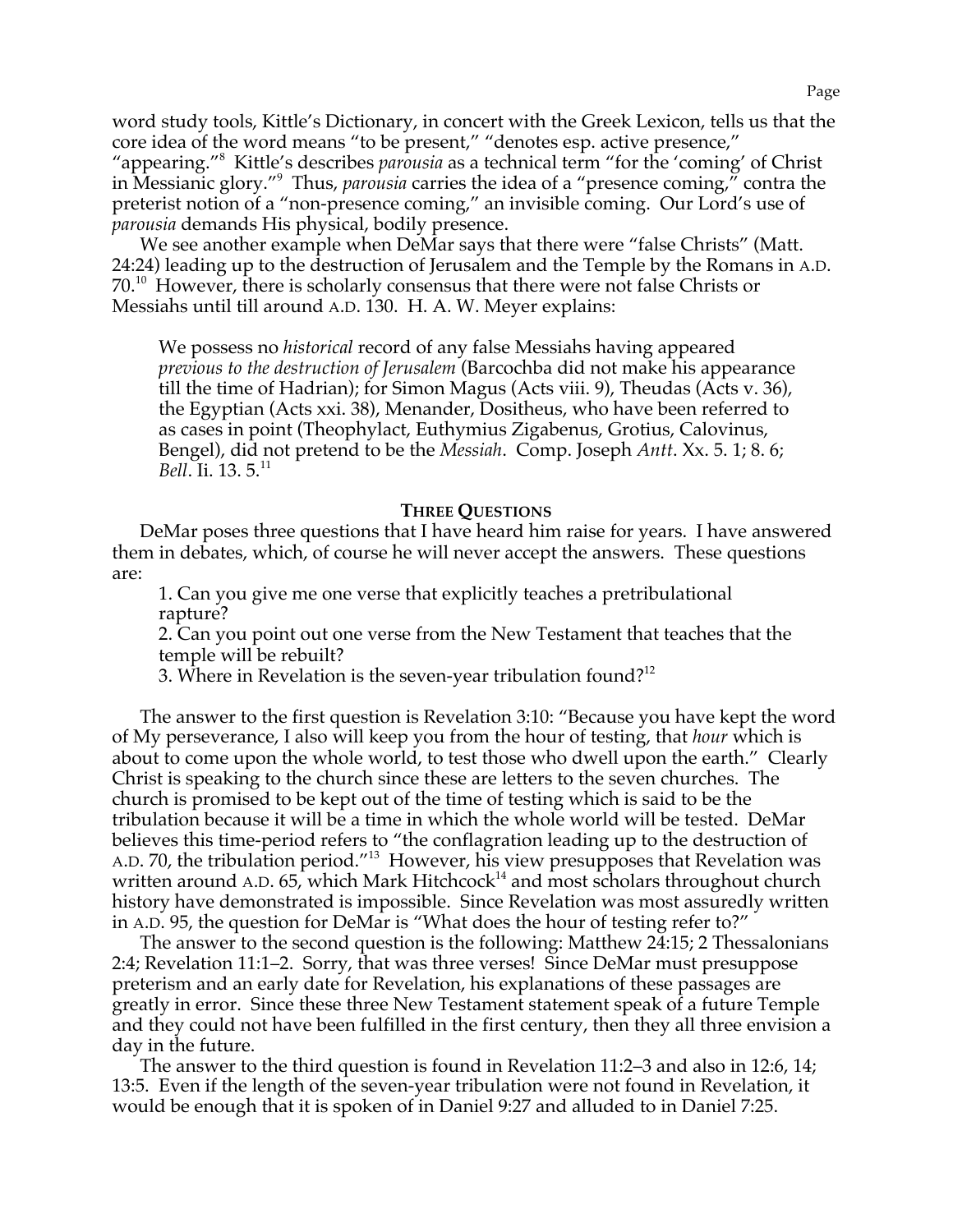word study tools, Kittle's Dictionary, in concert with the Greek Lexicon, tells us that the core idea of the word means "to be present," "denotes esp. active presence," "appearing."<sup>8</sup> Kittle's describes *parousia* as a technical term "for the 'coming' of Christ in Messianic glory."9 Thus, *parousia* carries the idea of a "presence coming," contra the preterist notion of a "non-presence coming," an invisible coming. Our Lord's use of *parousia* demands His physical, bodily presence.

We see another example when DeMar says that there were "false Christs" (Matt. 24:24) leading up to the destruction of Jerusalem and the Temple by the Romans in A.D.  $70<sup>10</sup>$  However, there is scholarly consensus that there were not false Christs or Messiahs until till around A.D. 130. H. A. W. Meyer explains:

We possess no *historical* record of any false Messiahs having appeared *previous to the destruction of Jerusalem* (Barcochba did not make his appearance till the time of Hadrian); for Simon Magus (Acts viii. 9), Theudas (Acts v. 36), the Egyptian (Acts xxi. 38), Menander, Dositheus, who have been referred to as cases in point (Theophylact, Euthymius Zigabenus, Grotius, Calovinus, Bengel), did not pretend to be the *Messiah*. Comp. Joseph *Antt*. Xx. 5. 1; 8. 6; *Bell*. Ii. 13. 5.<sup>11</sup>

#### **THREE QUESTIONS**

DeMar poses three questions that I have heard him raise for years. I have answered them in debates, which, of course he will never accept the answers. These questions are:

1. Can you give me one verse that explicitly teaches a pretribulational rapture?

2. Can you point out one verse from the New Testament that teaches that the temple will be rebuilt?

3. Where in Revelation is the seven-year tribulation found? $12$ 

The answer to the first question is Revelation 3:10: "Because you have kept the word of My perseverance, I also will keep you from the hour of testing, that *hour* which is about to come upon the whole world, to test those who dwell upon the earth." Clearly Christ is speaking to the church since these are letters to the seven churches. The church is promised to be kept out of the time of testing which is said to be the tribulation because it will be a time in which the whole world will be tested. DeMar believes this time-period refers to "the conflagration leading up to the destruction of A.D. 70, the tribulation period."13 However, his view presupposes that Revelation was written around A.D. 65, which Mark Hitchcock<sup>14</sup> and most scholars throughout church history have demonstrated is impossible. Since Revelation was most assuredly written in A.D. 95, the question for DeMar is "What does the hour of testing refer to?"

The answer to the second question is the following: Matthew 24:15; 2 Thessalonians 2:4; Revelation 11:1–2. Sorry, that was three verses! Since DeMar must presuppose preterism and an early date for Revelation, his explanations of these passages are greatly in error. Since these three New Testament statement speak of a future Temple and they could not have been fulfilled in the first century, then they all three envision a day in the future.

The answer to the third question is found in Revelation 11:2–3 and also in 12:6, 14; 13:5. Even if the length of the seven-year tribulation were not found in Revelation, it would be enough that it is spoken of in Daniel 9:27 and alluded to in Daniel 7:25.